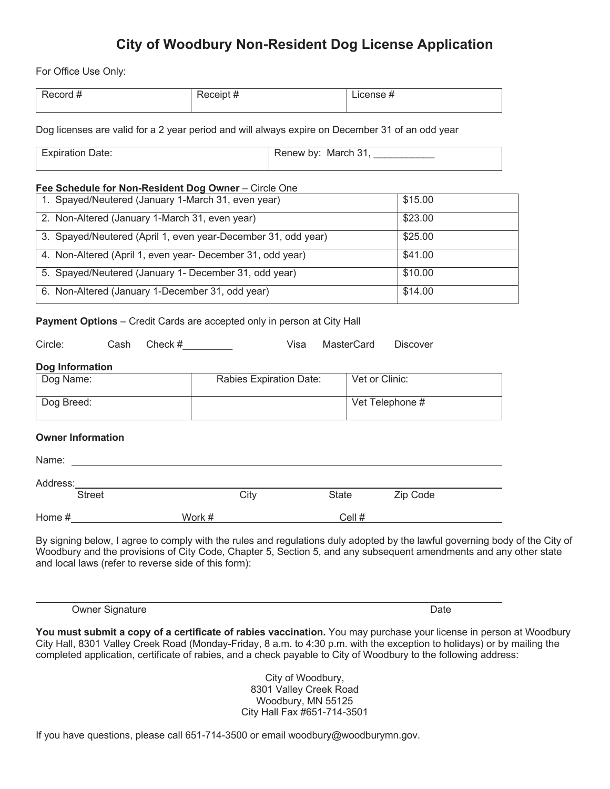# **City of Woodbury Non-Resident Dog License Application**

For Office Use Only:

| ----<br>`NF<br>-<br>. | $ -$<br>____ | . |
|-----------------------|--------------|---|
|                       |              |   |

Dog licenses are valid for a 2 year period and will always expire on December 31 of an odd year

Expiration Date: Renew by: March 31, Renew by: March 31,

# **Fee Schedule for Non-Resident Dog Owner** – Circle One

| 1. Spayed/Neutered (January 1-March 31, even year)            | \$15.00 |
|---------------------------------------------------------------|---------|
| 2. Non-Altered (January 1-March 31, even year)                | \$23.00 |
| 3. Spayed/Neutered (April 1, even year-December 31, odd year) | \$25.00 |
| 4. Non-Altered (April 1, even year- December 31, odd year)    | \$41.00 |
| 5. Spayed/Neutered (January 1- December 31, odd year)         | \$10.00 |
| 6. Non-Altered (January 1-December 31, odd year)              | \$14.00 |

# **Payment Options** – Credit Cards are accepted only in person at City Hall

| Circle:                  | Cash | Check # | Visa<br><b>MasterCard</b><br><b>Discover</b> |              |                 |          |  |  |  |
|--------------------------|------|---------|----------------------------------------------|--------------|-----------------|----------|--|--|--|
| <b>Dog Information</b>   |      |         |                                              |              |                 |          |  |  |  |
| Dog Name:                |      |         | Rabies Expiration Date:                      |              | Vet or Clinic:  |          |  |  |  |
| Dog Breed:               |      |         |                                              |              | Vet Telephone # |          |  |  |  |
| <b>Owner Information</b> |      |         |                                              |              |                 |          |  |  |  |
| Name:                    |      |         |                                              |              |                 |          |  |  |  |
| Address:                 |      |         |                                              |              |                 |          |  |  |  |
| <b>Street</b>            |      |         | City                                         | <b>State</b> |                 | Zip Code |  |  |  |
| Home #                   |      |         | Work #                                       |              | Cell #          |          |  |  |  |

By signing below, I agree to comply with the rules and regulations duly adopted by the lawful governing body of the City of Woodbury and the provisions of City Code, Chapter 5, Section 5, and any subsequent amendments and any other state and local laws (refer to reverse side of this form):

Owner Signature Date Date of the United States of the United States of the Date Date

**You must submit a copy of a certificate of rabies vaccination.** You may purchase your license in person at Woodbury City Hall, 8301 Valley Creek Road (Monday-Friday, 8 a.m. to 4:30 p.m. with the exception to holidays) or by mailing the completed application, certificate of rabies, and a check payable to City of Woodbury to the following address:

> City of Woodbury, 8301 Valley Creek Road Woodbury, MN 55125 City Hall Fax #651-714-3501

If you have questions, please call 651-714-3500 or email woodbury@woodburymn.gov.